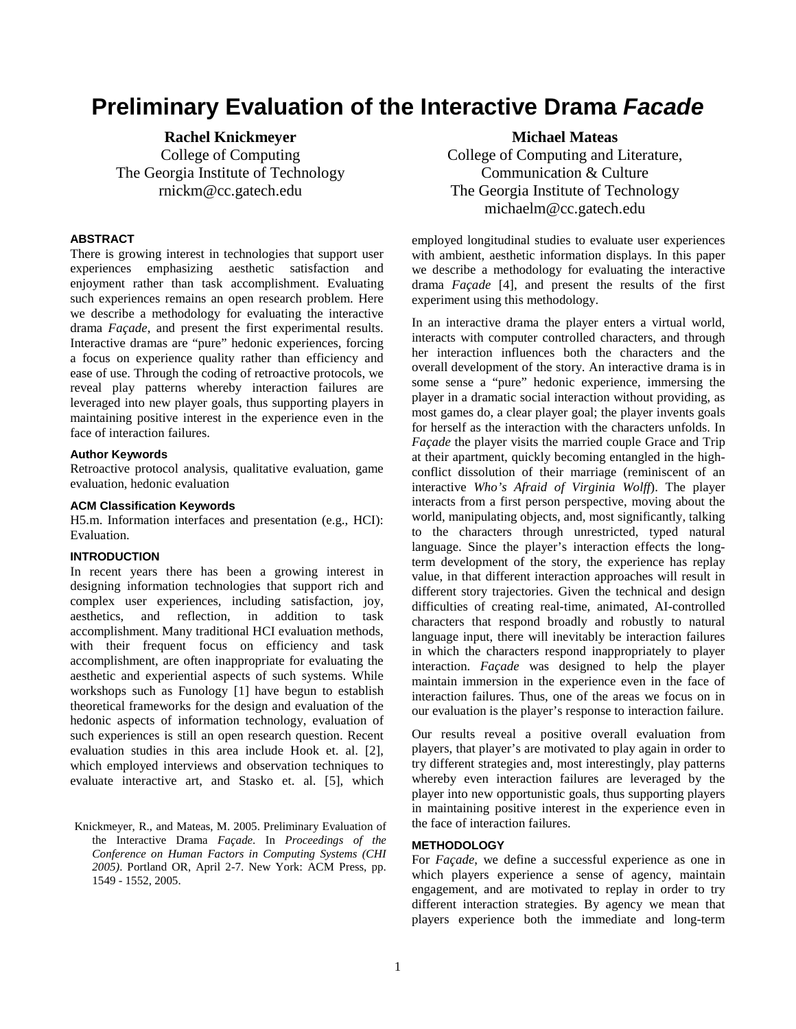# **Preliminary Evaluation of the Interactive Drama Facade**

**Rachel Knickmeyer**  College of Computing The Georgia Institute of Technology rnickm@cc.gatech.edu

#### **ABSTRACT**

There is growing interest in technologies that support user experiences emphasizing aesthetic satisfaction and enjoyment rather than task accomplishment. Evaluating such experiences remains an open research problem. Here we describe a methodology for evaluating the interactive drama *Façade*, and present the first experimental results. Interactive dramas are "pure" hedonic experiences, forcing a focus on experience quality rather than efficiency and ease of use. Through the coding of retroactive protocols, we reveal play patterns whereby interaction failures are leveraged into new player goals, thus supporting players in maintaining positive interest in the experience even in the face of interaction failures.

#### **Author Keywords**

Retroactive protocol analysis, qualitative evaluation, game evaluation, hedonic evaluation

#### **ACM Classification Keywords**

H5.m. Information interfaces and presentation (e.g., HCI): Evaluation.

#### **INTRODUCTION**

In recent years there has been a growing interest in designing information technologies that support rich and complex user experiences, including satisfaction, joy, aesthetics, and reflection, in addition to task accomplishment. Many traditional HCI evaluation methods, with their frequent focus on efficiency and task accomplishment, are often inappropriate for evaluating the aesthetic and experiential aspects of such systems. While workshops such as Funology [1] have begun to establish theoretical frameworks for the design and evaluation of the hedonic aspects of information technology, evaluation of such experiences is still an open research question. Recent evaluation studies in this area include Hook et. al. [2], which employed interviews and observation techniques to evaluate interactive art, and Stasko et. al. [5], which

Knickmeyer, R., and Mateas, M. 2005. Preliminary Evaluation of the Interactive Drama *Façade*. In *Proceedings of the Conference on Human Factors in Computing Systems (CHI 2005)*. Portland OR, April 2-7. New York: ACM Press, pp. 1549 - 1552, 2005.

**Michael Mateas**  College of Computing and Literature, Communication & Culture The Georgia Institute of Technology michaelm@cc.gatech.edu

employed longitudinal studies to evaluate user experiences with ambient, aesthetic information displays. In this paper we describe a methodology for evaluating the interactive drama *Façade* [4], and present the results of the first experiment using this methodology.

In an interactive drama the player enters a virtual world, interacts with computer controlled characters, and through her interaction influences both the characters and the overall development of the story. An interactive drama is in some sense a "pure" hedonic experience, immersing the player in a dramatic social interaction without providing, as most games do, a clear player goal; the player invents goals for herself as the interaction with the characters unfolds. In *Façade* the player visits the married couple Grace and Trip at their apartment, quickly becoming entangled in the highconflict dissolution of their marriage (reminiscent of an interactive *Who's Afraid of Virginia Wolff*). The player interacts from a first person perspective, moving about the world, manipulating objects, and, most significantly, talking to the characters through unrestricted, typed natural language. Since the player's interaction effects the longterm development of the story, the experience has replay value, in that different interaction approaches will result in different story trajectories. Given the technical and design difficulties of creating real-time, animated, AI-controlled characters that respond broadly and robustly to natural language input, there will inevitably be interaction failures in which the characters respond inappropriately to player interaction. *Façade* was designed to help the player maintain immersion in the experience even in the face of interaction failures. Thus, one of the areas we focus on in our evaluation is the player's response to interaction failure.

Our results reveal a positive overall evaluation from players, that player's are motivated to play again in order to try different strategies and, most interestingly, play patterns whereby even interaction failures are leveraged by the player into new opportunistic goals, thus supporting players in maintaining positive interest in the experience even in the face of interaction failures.

#### **METHODOLOGY**

For *Façade*, we define a successful experience as one in which players experience a sense of agency, maintain engagement, and are motivated to replay in order to try different interaction strategies. By agency we mean that players experience both the immediate and long-term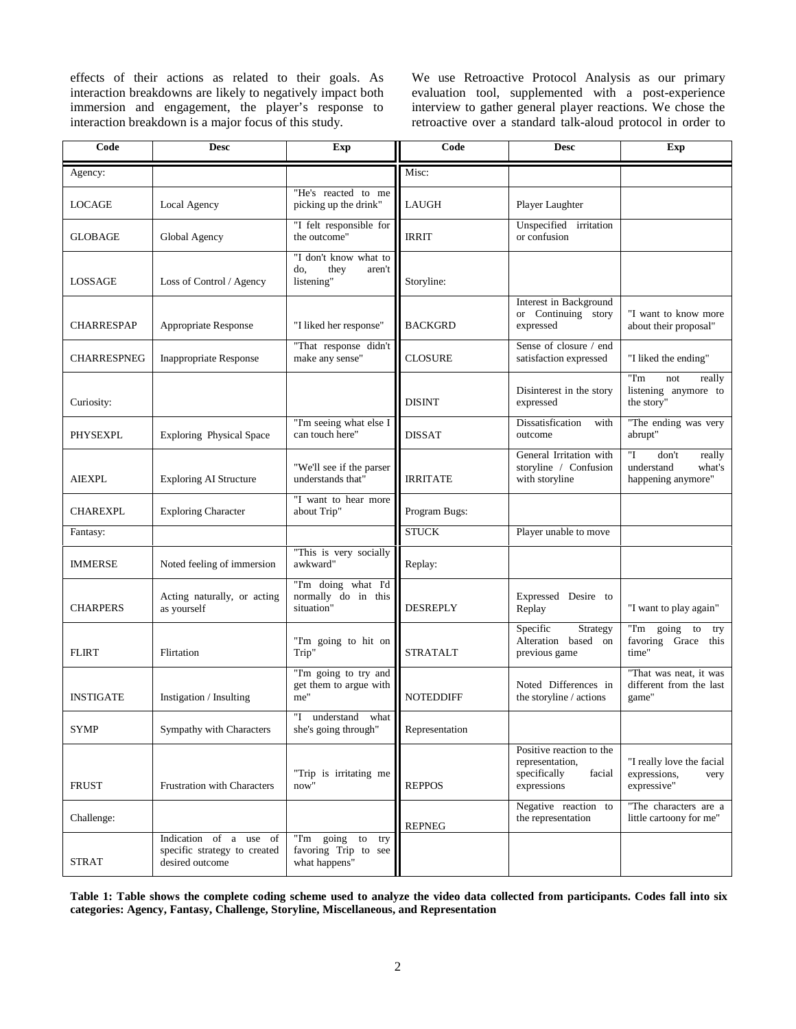effects of their actions as related to their goals. As interaction breakdowns are likely to negatively impact both immersion and engagement, the player's response to interaction breakdown is a major focus of this study.

We use Retroactive Protocol Analysis as our primary evaluation tool, supplemented with a post-experience interview to gather general player reactions. We chose the retroactive over a standard talk-aloud protocol in order to

| Code               | <b>Desc</b>                                                               | <b>Exp</b>                                                          | Code             | <b>Desc</b>                                                                          | Exp                                                                 |
|--------------------|---------------------------------------------------------------------------|---------------------------------------------------------------------|------------------|--------------------------------------------------------------------------------------|---------------------------------------------------------------------|
| Agency:            |                                                                           |                                                                     | Misc:            |                                                                                      |                                                                     |
| LOCAGE             | Local Agency                                                              | "He's reacted to me<br>picking up the drink"                        | LAUGH            | Player Laughter                                                                      |                                                                     |
| <b>GLOBAGE</b>     | Global Agency                                                             | "I felt responsible for<br>the outcome"                             | <b>IRRIT</b>     | Unspecified irritation<br>or confusion                                               |                                                                     |
| LOSSAGE            | Loss of Control / Agency                                                  | "I don't know what to<br>do,<br>they<br>aren't<br>listening"        | Storyline:       |                                                                                      |                                                                     |
| <b>CHARRESPAP</b>  | Appropriate Response                                                      | "I liked her response"                                              | <b>BACKGRD</b>   | Interest in Background<br>or Continuing story<br>expressed                           | "I want to know more<br>about their proposal"                       |
| <b>CHARRESPNEG</b> | <b>Inappropriate Response</b>                                             | "That response didn't<br>make any sense"                            | CLOSURE          | Sense of closure / end<br>satisfaction expressed                                     | "I liked the ending"                                                |
| Curiosity:         |                                                                           |                                                                     | <b>DISINT</b>    | Disinterest in the story<br>expressed                                                | "I'm<br>not<br>really<br>listening anymore to<br>the story"         |
| PHYSEXPL           | <b>Exploring Physical Space</b>                                           | "I'm seeing what else I<br>can touch here"                          | <b>DISSAT</b>    | Dissatisfication<br>with<br>outcome                                                  | "The ending was very<br>abrupt"                                     |
| <b>AIEXPL</b>      | <b>Exploring AI Structure</b>                                             | "We'll see if the parser<br>understands that"                       | <b>IRRITATE</b>  | General Irritation with<br>storyline / Confusion<br>with storyline                   | "І<br>don't<br>really<br>understand<br>what's<br>happening anymore" |
| <b>CHAREXPL</b>    | <b>Exploring Character</b>                                                | "I want to hear more<br>about Trip"                                 | Program Bugs:    |                                                                                      |                                                                     |
| Fantasy:           |                                                                           |                                                                     | <b>STUCK</b>     | Player unable to move                                                                |                                                                     |
| <b>IMMERSE</b>     | Noted feeling of immersion                                                | "This is very socially<br>awkward"                                  | Replay:          |                                                                                      |                                                                     |
| <b>CHARPERS</b>    | Acting naturally, or acting<br>as yourself                                | "I'm doing what I'd<br>normally do in this<br>situation"            | <b>DESREPLY</b>  | Expressed Desire to<br>Replay                                                        | "I want to play again"                                              |
| <b>FLIRT</b>       | Flirtation                                                                | "I'm going to hit on<br>Trip"                                       | <b>STRATALT</b>  | Specific<br>Strategy<br>Alteration based on<br>previous game                         | "I'm<br>going<br>to<br>try<br>favoring Grace<br>this<br>time"       |
| <b>INSTIGATE</b>   | Instigation / Insulting                                                   | "I'm going to try and<br>get them to argue with<br>me"              | <b>NOTEDDIFF</b> | Noted Differences in<br>the storyline / actions                                      | "That was neat, it was<br>different from the last<br>game"          |
| SYMP               | Sympathy with Characters                                                  | "I<br>understand<br>what<br>she's going through"                    | Representation   |                                                                                      |                                                                     |
| FRUST              | <b>Frustration with Characters</b>                                        | "Trip is irritating me<br>now"                                      | <b>REPPOS</b>    | Positive reaction to the<br>representation,<br>specifically<br>facial<br>expressions | "I really love the facial"<br>expressions,<br>very<br>expressive"   |
| Challenge:         |                                                                           |                                                                     | <b>REPNEG</b>    | Negative reaction to<br>the representation                                           | "The characters are a<br>little cartoony for me"                    |
| <b>STRAT</b>       | Indication of a use of<br>specific strategy to created<br>desired outcome | "I'm<br>going<br>to<br>try<br>favoring Trip to see<br>what happens" |                  |                                                                                      |                                                                     |

**Table 1: Table shows the complete coding scheme used to analyze the video data collected from participants. Codes fall into six categories: Agency, Fantasy, Challenge, Storyline, Miscellaneous, and Representation**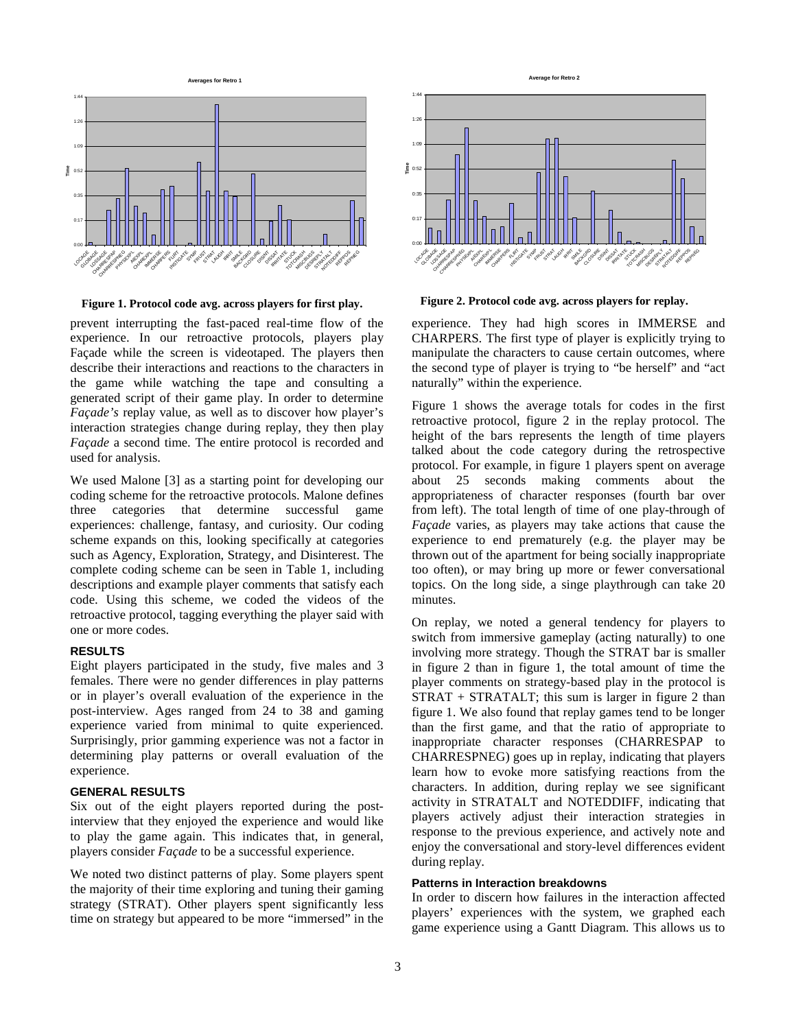

**Figure 1. Protocol code avg. across players for first play.**

prevent interrupting the fast-paced real-time flow of the experience. In our retroactive protocols, players play Façade while the screen is videotaped. The players then describe their interactions and reactions to the characters in the game while watching the tape and consulting a generated script of their game play. In order to determine *Façade's* replay value, as well as to discover how player's interaction strategies change during replay, they then play *Façade* a second time. The entire protocol is recorded and used for analysis.

We used Malone [3] as a starting point for developing our coding scheme for the retroactive protocols. Malone defines three categories that determine successful game experiences: challenge, fantasy, and curiosity. Our coding scheme expands on this, looking specifically at categories such as Agency, Exploration, Strategy, and Disinterest. The complete coding scheme can be seen in Table 1, including descriptions and example player comments that satisfy each code. Using this scheme, we coded the videos of the retroactive protocol, tagging everything the player said with one or more codes.

#### **RESULTS**

Eight players participated in the study, five males and 3 females. There were no gender differences in play patterns or in player's overall evaluation of the experience in the post-interview. Ages ranged from 24 to 38 and gaming experience varied from minimal to quite experienced. Surprisingly, prior gamming experience was not a factor in determining play patterns or overall evaluation of the experience.

#### **GENERAL RESULTS**

Six out of the eight players reported during the postinterview that they enjoyed the experience and would like to play the game again. This indicates that, in general, players consider *Façade* to be a successful experience.

We noted two distinct patterns of play. Some players spent the majority of their time exploring and tuning their gaming strategy (STRAT). Other players spent significantly less time on strategy but appeared to be more "immersed" in the



**Figure 2. Protocol code avg. across players for replay.** 

experience. They had high scores in IMMERSE and CHARPERS. The first type of player is explicitly trying to manipulate the characters to cause certain outcomes, where the second type of player is trying to "be herself" and "act naturally" within the experience.

Figure 1 shows the average totals for codes in the first retroactive protocol, figure 2 in the replay protocol. The height of the bars represents the length of time players talked about the code category during the retrospective protocol. For example, in figure 1 players spent on average about 25 seconds making comments about the appropriateness of character responses (fourth bar over from left). The total length of time of one play-through of *Façade* varies, as players may take actions that cause the experience to end prematurely (e.g. the player may be thrown out of the apartment for being socially inappropriate too often), or may bring up more or fewer conversational topics. On the long side, a singe playthrough can take 20 minutes.

On replay, we noted a general tendency for players to switch from immersive gameplay (acting naturally) to one involving more strategy. Though the STRAT bar is smaller in figure 2 than in figure 1, the total amount of time the player comments on strategy-based play in the protocol is STRAT + STRATALT; this sum is larger in figure 2 than figure 1. We also found that replay games tend to be longer than the first game, and that the ratio of appropriate to inappropriate character responses (CHARRESPAP to CHARRESPNEG) goes up in replay, indicating that players learn how to evoke more satisfying reactions from the characters. In addition, during replay we see significant activity in STRATALT and NOTEDDIFF, indicating that players actively adjust their interaction strategies in response to the previous experience, and actively note and enjoy the conversational and story-level differences evident during replay.

#### **Patterns in Interaction breakdowns**

In order to discern how failures in the interaction affected players' experiences with the system, we graphed each game experience using a Gantt Diagram. This allows us to